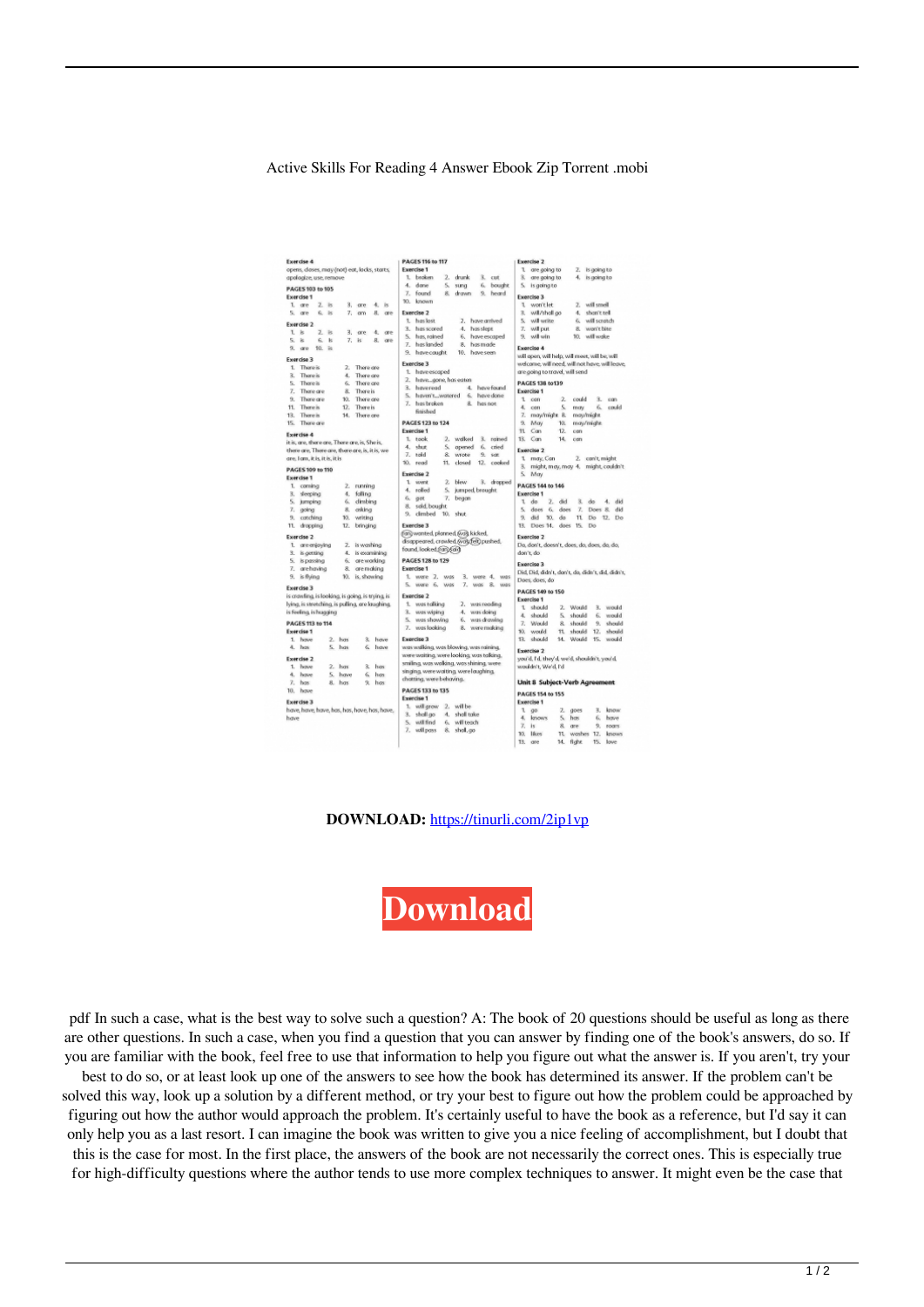Active Skills For Reading 4 Answer Ebook Zip Torrent .mobi

| <b>Exercise 4</b>                                |                                 |                  | <b>PAGES 116 to 117</b><br><b>Exercise 2</b>                                                                              |
|--------------------------------------------------|---------------------------------|------------------|---------------------------------------------------------------------------------------------------------------------------|
| opens, clases, may (not) eat, locks, starts,     |                                 |                  | Exercise 1<br>1 are going to<br>2. Is going to                                                                            |
| apologize, use, remove                           |                                 |                  | 1. broken<br>2. drunk<br>3. are going to<br>4. is going to<br>$3.$ cut                                                    |
| PAGES 103 to 105                                 |                                 |                  | 4. dase<br>6. bought<br>is going to<br>5.<br>sung<br>s.                                                                   |
| Exercise 1                                       |                                 |                  | 7. found<br>8.<br>drawn<br>9. heard<br>Exercise 3                                                                         |
| 1. cre<br>2.15                                   | $3.$ are                        | 4. is            | known<br>TO.<br>2. will smell<br>1 won't let                                                                              |
| 5. ore<br>6.8                                    | 7.0m                            | 8.<br>ore        | Exercise <sub>2</sub><br>3. will/shall go<br>shan't tell<br>4.                                                            |
| Exercise 2                                       |                                 |                  | 1. has lost<br>2. have arrived<br>5. will write<br>Ë.<br>will scratch                                                     |
| 1.5<br>$\mathbb{Z}$<br>P6                        |                                 | 4.               | won't bite<br>3. has scored<br>4.<br>has slept.<br>7.<br>will put<br>8.                                                   |
| 5.8<br>6.<br>$\mathbf{g}$                        | 3.<br>gre<br>7. is              | ore<br><b>B.</b> | has, rained<br>will win<br>10. will wake<br>6.<br>have escaped<br>9.<br>5.                                                |
|                                                  |                                 | ore              | has landed<br>has made<br>z.<br><b>FL.</b><br>Exercise 4                                                                  |
| 9. are<br>10. 该                                  |                                 |                  | 9. havecaught.<br>10. have seen                                                                                           |
| Exercise 3                                       |                                 |                  | will open, will help, will meet, will be, will<br>Exercise 3                                                              |
| 1. There is                                      | 2. There are                    |                  | welcome, will need, will not have, will leave,                                                                            |
| There is<br>я.                                   | There are<br>A.                 |                  | 1. have escaped<br>are going to travel, will send                                                                         |
| 5.<br>There is                                   | 6.<br>There are                 |                  | 2. havegone, has eaten<br>PAGES 138 to 139<br>A.                                                                          |
| 7. There are                                     | <b>There</b> is<br>$\mathbb{R}$ |                  | 3. haveread<br>have found<br>Exercise 1                                                                                   |
| 9. There are                                     | 10.<br>There are                |                  | 5. haven't watered<br>have done<br>6.<br>$1$ can<br>$\overline{z}$<br>could<br>з.<br>con<br>7. has broken<br>has not<br>8 |
| 11.<br>There is                                  | 12.<br><b>There</b> is          |                  | 4. can<br>s.<br>may<br>б.<br>could<br>finished                                                                            |
| There is<br>18.                                  | There are<br>14.                |                  | 7. may/might 8.<br>may/might.                                                                                             |
| 15.<br>There are                                 |                                 |                  | <b>PAGES 123 to 124</b><br>9.<br>May<br>10.<br>may/might.                                                                 |
| <b>Exercise 4</b>                                |                                 |                  | Exercise 1<br>Can<br>12.<br>11<br>can                                                                                     |
| it is, are, there are, There are, is, She is,    |                                 |                  | 1. took<br>3. rained<br>13. Com<br>14.<br>2. wolked<br>con                                                                |
| there are, There are, there are, is, it is, we   |                                 |                  | 4. shut<br>5. answer<br>6. cried<br>Exercise 2                                                                            |
| are. Iam, it is, it is, it is                    |                                 |                  | 7. told<br>8.<br>wrote<br>9. $500$<br>1 may, Can<br>2. can't, might                                                       |
|                                                  |                                 |                  | 10. read<br>11.<br>closed<br>12. cooked                                                                                   |
| <b>PAGES 109 to 110</b>                          |                                 |                  | 3. might, may, may 4. might, couldn't<br>Exercise 2<br>5.<br>May                                                          |
| <b>Exercise 1</b>                                |                                 |                  | 1 went<br>2.<br><b>blew</b><br>3. dropped                                                                                 |
| 1. coming                                        | 2. running                      |                  | <b>PAGES 144 to 146</b><br>4. rolled<br>5. jumped brought                                                                 |
| 3. sleeping                                      | 4. folling                      |                  | <b>Exercise 1</b><br>6. got                                                                                               |
| 5. jumping                                       | 6. dimbing                      |                  | 7. began<br>$1$ do<br>2.4d<br>s.<br>4. did<br>do                                                                          |
| 7. going                                         | 8.<br>osking                    |                  | 8. sold. bought<br>7. Does 8. did<br>5.<br>does 6, does<br>9. climbed<br>10. shut.                                        |
| 9. catching                                      | 10.<br>writing                  |                  | a.<br>did<br>10, do<br>11. Do 12. Do                                                                                      |
| 11. dropping                                     | 12.<br>bringing                 |                  | Exercise 3<br>13. Does 14. does 15. Do                                                                                    |
| <b>Exercise 2</b>                                |                                 |                  | (ran) wanted, planned, (was kicked.<br>Exercise <sub>2</sub>                                                              |
| 1. are enjoying                                  | 2. is washing                   |                  | disappeared, crawled, was felt) pushed,<br>Do, don't, doesn't, does, do, does, do, do,                                    |
| 3. is getting                                    | 4. is examining                 |                  | found.looked.franc6ard<br>don't do                                                                                        |
| 5. is passing                                    | 6. areworking                   |                  | <b>PAGES 128 to 129</b>                                                                                                   |
| 7. archaving                                     | aremaking<br>8.                 |                  | Exercise 3<br>Exercise 1                                                                                                  |
| 9. is flying                                     | 10. is showing                  |                  | Did, Did, didn't, don't, do, didn't, did, didn't,<br>1. were 2. was<br>3. were 4. was                                     |
|                                                  |                                 |                  | Does, does, do<br>5. were 6. was<br>7. was 8. was                                                                         |
| Exercise 3                                       |                                 |                  | PAGES 149 to 150                                                                                                          |
| is crawling, is looking, is going, is trying, is |                                 |                  | Exercise 2<br>Exercise 1                                                                                                  |
| lying, is stretching, is pulling, are laughing.  |                                 |                  | 1. was talking<br>2. was reading<br>3. weedd<br>1. should<br>2. Would                                                     |
| is feeling, is hugging                           |                                 |                  | 3. was wiping<br>4. was doing<br>4. should<br>S. should<br>6.<br>would                                                    |
| <b>PAGES 113 to 114</b>                          |                                 |                  | 5. was showing<br>was drawing<br>б.<br>7. Would<br>8. should<br>9. should                                                 |
| Exercise 1                                       |                                 |                  | 7. was looking<br>8.<br>were making<br>should<br>10. would<br>11.<br>should<br>12.                                        |
| 1. hove<br>2. has                                | 主                               | have             | Exercise 3<br>13. should<br>14. Would<br>15.<br>would                                                                     |
| 4. hos<br>5. has                                 | 6.                              | have             | was walking, was blowing, was raining.                                                                                    |
|                                                  |                                 |                  | Exercise 2<br>were waiting, were looking, was talking,                                                                    |
| <b>Exercise 2</b>                                |                                 |                  | you'd, I'd, they'd, we'd, shouldn't, you'd,<br>smiling, was walking, was shining, were                                    |
| 1. hove<br>$2.$ has                              | ŝ.                              | has              | wouldn't, We'd, I'd<br>singing, were waiting, were loughing.                                                              |
| 4. have<br>5.                                    | have<br>6.                      | has              | chatting, were behaving.                                                                                                  |
| 7. how                                           | 8. has<br>$\alpha$              | has              | <b>Unit 8 Subject-Verb Agreement</b>                                                                                      |
| 10. hove                                         |                                 |                  | <b>PAGES 133 to 135</b><br><b>PAGES 154 to 155</b>                                                                        |
| <b>Exercise 3</b>                                |                                 |                  | Exercise 1<br>Exercise 1                                                                                                  |
| have, have, have, has, has, have, has, have,     |                                 |                  | 1. will grow 2. will be<br>know<br>В.<br>ι<br>go<br>2.<br>goes                                                            |
| have                                             |                                 |                  | 3. shall go<br>4. shall take<br>4.<br>knows<br>s.<br>has<br>6.<br>have                                                    |
|                                                  |                                 |                  | 5. will find<br>6, will teach<br>7.<br>is.<br>s.<br>9, roars<br>are                                                       |
|                                                  |                                 |                  | 7. willpass<br>8. shall.go<br>10.<br><b>Idens</b><br>11, washes 12, knows                                                 |
|                                                  |                                 |                  | Robert 16, Japan<br>17.<br>24.4                                                                                           |

**DOWNLOAD:** <https://tinurli.com/2ip1vp>



 pdf In such a case, what is the best way to solve such a question? A: The book of 20 questions should be useful as long as there are other questions. In such a case, when you find a question that you can answer by finding one of the book's answers, do so. If you are familiar with the book, feel free to use that information to help you figure out what the answer is. If you aren't, try your

best to do so, or at least look up one of the answers to see how the book has determined its answer. If the problem can't be solved this way, look up a solution by a different method, or try your best to figure out how the problem could be approached by figuring out how the author would approach the problem. It's certainly useful to have the book as a reference, but I'd say it can only help you as a last resort. I can imagine the book was written to give you a nice feeling of accomplishment, but I doubt that this is the case for most. In the first place, the answers of the book are not necessarily the correct ones. This is especially true for high-difficulty questions where the author tends to use more complex techniques to answer. It might even be the case that